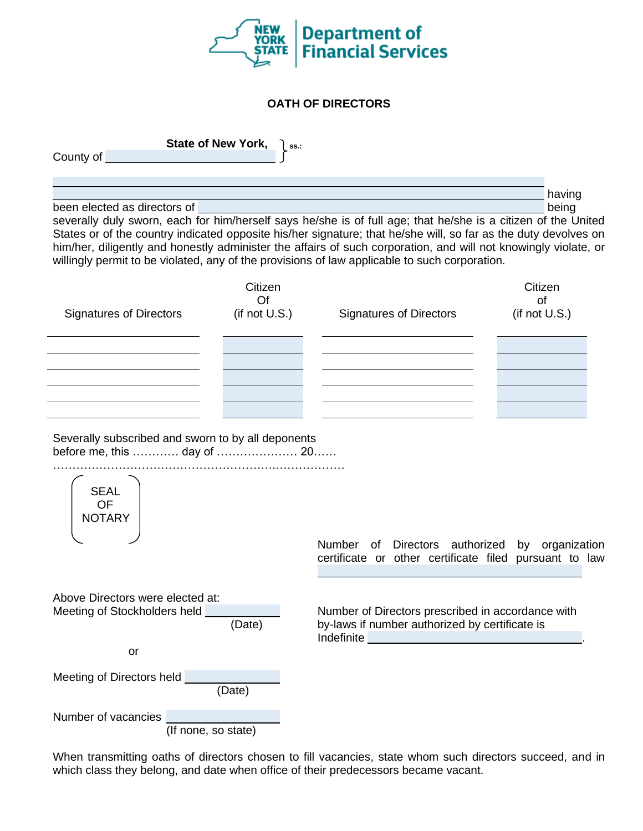

## **OATH OF DIRECTORS**

**State of New York, also ss.:** County of

having been elected as directors of being being being being being being being being being being being being being being being being being being being being being being being being being being being being being being being being b

severally duly sworn, each for him/herself says he/she is of full age; that he/she is a citizen of the United States or of the country indicated opposite his/her signature; that he/she will, so far as the duty devolves on him/her, diligently and honestly administer the affairs of such corporation, and will not knowingly violate, or willingly permit to be violated, any of the provisions of law applicable to such corporation.

| <b>Signatures of Directors</b> | Citizen<br>Of<br>(if not U.S.) | <b>Signatures of Directors</b> | Citizen<br>of<br>(if not U.S.) |
|--------------------------------|--------------------------------|--------------------------------|--------------------------------|
|                                |                                |                                |                                |
|                                |                                |                                |                                |
|                                |                                |                                |                                |
|                                |                                |                                |                                |
|                                |                                |                                |                                |

Severally subscribed and sworn to by all deponents before me, this ………… day of ………………… 20…… ………………………………………………….………………

| <b>SEAL</b><br><b>OF</b><br><b>NOTARY</b> |                                                                                                                |
|-------------------------------------------|----------------------------------------------------------------------------------------------------------------|
|                                           | Number<br>of Directors authorized by<br>organization<br>certificate or other certificate filed pursuant to law |
| Above Directors were elected at:          |                                                                                                                |
| Meeting of Stockholders held              | Number of Directors prescribed in accordance with                                                              |
| (Date)                                    | by-laws if number authorized by certificate is<br>Indefinite                                                   |
| or                                        |                                                                                                                |
| Meeting of Directors held<br>(Date)       |                                                                                                                |
| Number of vacancies                       |                                                                                                                |
| (If none, so state)                       |                                                                                                                |

When transmitting oaths of directors chosen to fill vacancies, state whom such directors succeed, and in which class they belong, and date when office of their predecessors became vacant.